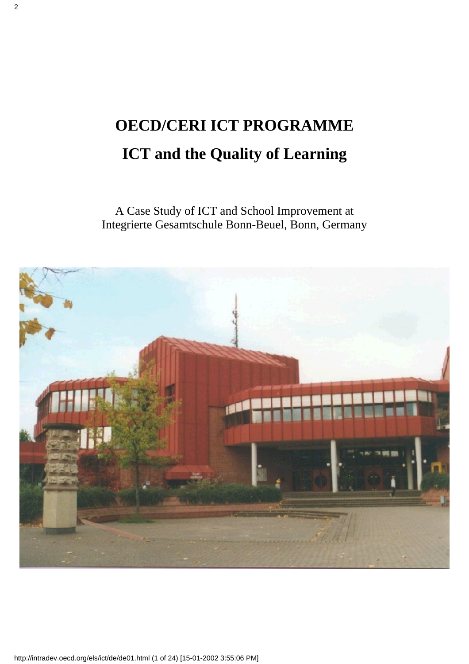# **OECD/CERI ICT PROGRAMME ICT and the Quality of Learning**

A Case Study of ICT and School Improvement at Integrierte Gesamtschule Bonn-Beuel, Bonn, Germany

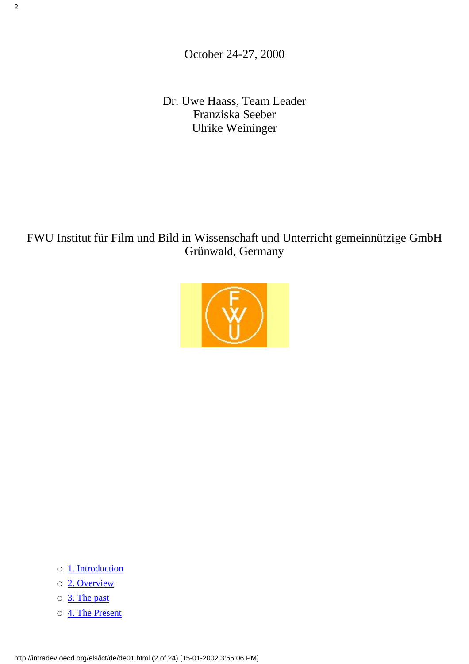October 24-27, 2000

Dr. Uwe Haass, Team Leader Franziska Seeber Ulrike Weininger

### FWU Institut für Film und Bild in Wissenschaft und Unterricht gemeinnützige GmbH Grünwald, Germany



- ❍ [1. Introduction](#page-2-0)
- ❍ [2. Overview](#page-2-1)
- ❍ [3. The past](#page-4-0)
- ❍ [4. The Present](#page-5-0)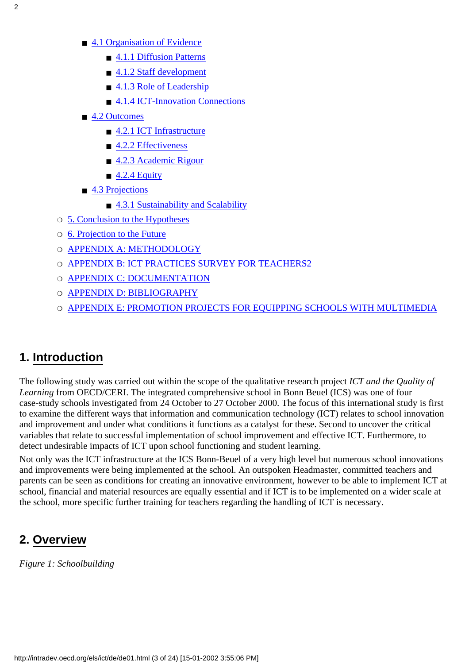- [4.1 Organisation of Evidence](#page-5-1)
	- [4.1.1 Diffusion Patterns](#page-5-2)
	- [4.1.2 Staff development](#page-7-0)
	- [4.1.3 Role of Leadership](#page-8-0)
	- [4.1.4 ICT-Innovation Connections](#page-9-0)
- [4.2 Outcomes](#page-10-0)
	- [4.2.1 ICT Infrastructure](#page-10-1)
	- [4.2.2 Effectiveness](#page-11-0)
	- [4.2.3 Academic Rigour](#page-14-0)
	- $\blacksquare$  [4.2.4 Equity](#page-14-1)
- [4.3 Projections](#page-16-0)
	- [4.3.1 Sustainability and Scalability](#page-16-1)
- ❍ [5. Conclusion to the Hypotheses](#page-17-0)
- ❍ [6. Projection to the Future](#page-18-0)
- O [APPENDIX A: METHODOLOGY](#page-18-1)
- ❍ [APPENDIX B: ICT PRACTICES SURVEY FOR TEACHERS2](#page-19-0)
- ❍ [APPENDIX C: DOCUMENTATION](#page-21-0)
- O [APPENDIX D: BIBLIOGRAPHY](#page-22-0)
- ❍ [APPENDIX E: PROMOTION PROJECTS FOR EQUIPPING SCHOOLS WITH MULTIMEDIA](#page-22-1)

### <span id="page-2-0"></span>**1. Introduction**

The following study was carried out within the scope of the qualitative research project *ICT and the Quality of Learning* from OECD/CERI. The integrated comprehensive school in Bonn Beuel (ICS) was one of four case-study schools investigated from 24 October to 27 October 2000. The focus of this international study is first to examine the different ways that information and communication technology (ICT) relates to school innovation and improvement and under what conditions it functions as a catalyst for these. Second to uncover the critical variables that relate to successful implementation of school improvement and effective ICT. Furthermore, to detect undesirable impacts of ICT upon school functioning and student learning.

Not only was the ICT infrastructure at the ICS Bonn-Beuel of a very high level but numerous school innovations and improvements were being implemented at the school. An outspoken Headmaster, committed teachers and parents can be seen as conditions for creating an innovative environment, however to be able to implement ICT at school, financial and material resources are equally essential and if ICT is to be implemented on a wider scale at the school, more specific further training for teachers regarding the handling of ICT is necessary.

### <span id="page-2-1"></span>**2. Overview**

*Figure 1: Schoolbuilding*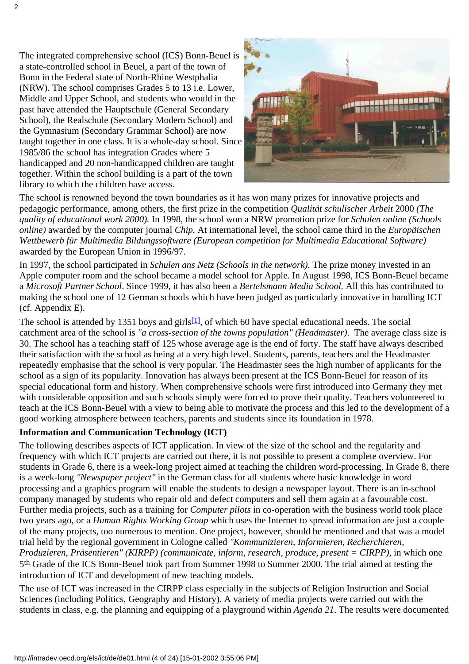The integrated comprehensive school (ICS) Bonn-Beuel is a state-controlled school in Beuel, a part of the town of Bonn in the Federal state of North-Rhine Westphalia (NRW). The school comprises Grades 5 to 13 i.e. Lower, Middle and Upper School, and students who would in the past have attended the Hauptschule (General Secondary School), the Realschule (Secondary Modern School) and the Gymnasium (Secondary Grammar School) are now taught together in one class. It is a whole-day school. Since 1985/86 the school has integration Grades where 5 handicapped and 20 non-handicapped children are taught together. Within the school building is a part of the town library to which the children have access.



The school is renowned beyond the town boundaries as it has won many prizes for innovative projects and pedagogic performance, among others, the first prize in the competition *Qualität schulischer Arbeit* 2000 *(The quality of educational work 2000).* In 1998, the school won a NRW promotion prize for *Schulen online (Schools online)* awarded by the computer journal *Chip.* At international level, the school came third in the *Europäischen Wettbewerb für Multimedia Bildungssoftware (European competition for Multimedia Educational Software)* awarded by the European Union in 1996/97.

In 1997, the school participated in *Schulen ans Netz (Schools in the network)*. The prize money invested in an Apple computer room and the school became a model school for Apple. In August 1998, ICS Bonn-Beuel became a *Microsoft Partner School*. Since 1999, it has also been a *Bertelsmann Media School.* All this has contributed to making the school one of 12 German schools which have been judged as particularly innovative in handling ICT (cf. Appendix E).

<span id="page-3-0"></span>The school is attended by 1351 boys and girls<sup>[1]</sup>, of which 60 have special educational needs. The social catchment area of the school is "a cross-section of the town s population" (Headmaster). The average class size is 30. The school has a teaching staff of 125 whose average age is the end of forty. The staff have always described their satisfaction with the school as being at a very high level. Students, parents, teachers and the Headmaster repeatedly emphasise that the school is very popular. The Headmaster sees the high number of applicants for the school as a sign of its popularity. Innovation has always been present at the ICS Bonn-Beuel for reason of its special educational form and history. When comprehensive schools were first introduced into Germany they met with considerable opposition and such schools simply were forced to prove their quality. Teachers volunteered to teach at the ICS Bonn-Beuel with a view to being able to motivate the process and this led to the development of a good working atmosphere between teachers, parents and students since its foundation in 1978.

#### **Information and Communication Technology (ICT)**

The following describes aspects of ICT application. In view of the size of the school and the regularity and frequency with which ICT projects are carried out there, it is not possible to present a complete overview. For students in Grade 6, there is a week-long project aimed at teaching the children word-processing. In Grade 8, there is a week-long *"Newspaper project"* in the German class for all students where basic knowledge in word processing and a graphics program will enable the students to design a newspaper layout. There is an in-school company managed by students who repair old and defect computers and sell them again at a favourable cost. Further media projects, such as a training for *Computer pilots* in co-operation with the business world took place two years ago, or a *Human Rights Working Group* which uses the Internet to spread information are just a couple of the many projects, too numerous to mention. One project, however, should be mentioned and that was a model trial held by the regional government in Cologne called *"Kommunizieren, Informieren, Recherchieren, Produzieren, Präsentieren" (KIRPP) (communicate, inform, research, produce, present = CIRPP)*, in which one 5th Grade of the ICS Bonn-Beuel took part from Summer 1998 to Summer 2000. The trial aimed at testing the introduction of ICT and development of new teaching models.

The use of ICT was increased in the CIRPP class especially in the subjects of Religion Instruction and Social Sciences (including Politics, Geography and History). A variety of media projects were carried out with the students in class, e.g. the planning and equipping of a playground within *Agenda 21*. The results were documented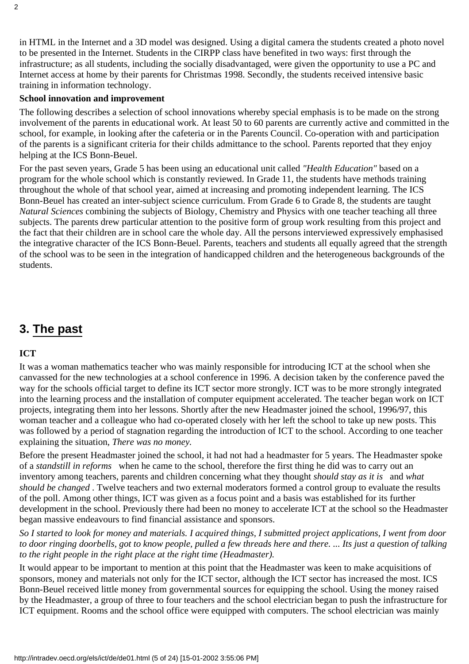in HTML in the Internet and a 3D model was designed. Using a digital camera the students created a photo novel to be presented in the Internet. Students in the CIRPP class have benefited in two ways: first through the infrastructure; as all students, including the socially disadvantaged, were given the opportunity to use a PC and Internet access at home by their parents for Christmas 1998. Secondly, the students received intensive basic training in information technology.

#### **School innovation and improvement**

The following describes a selection of school innovations whereby special emphasis is to be made on the strong involvement of the parents in educational work. At least 50 to 60 parents are currently active and committed in the school, for example, in looking after the cafeteria or in the Parents Council. Co-operation with and participation of the parents is a significant criteria for their child s admittance to the school. Parents reported that they enjoy helping at the ICS Bonn-Beuel.

For the past seven years, Grade 5 has been using an educational unit called *"Health Education"* based on a program for the whole school which is constantly reviewed. In Grade 11, the students have methods training throughout the whole of that school year, aimed at increasing and promoting independent learning. The ICS Bonn-Beuel has created an inter-subject science curriculum. From Grade 6 to Grade 8, the students are taught *Natural Sciences* combining the subjects of Biology, Chemistry and Physics with one teacher teaching all three subjects. The parents drew particular attention to the positive form of group work resulting from this project and the fact that their children are in school care the whole day. All the persons interviewed expressively emphasised the integrative character of the ICS Bonn-Beuel. Parents, teachers and students all equally agreed that the strength of the school was to be seen in the integration of handicapped children and the heterogeneous backgrounds of the students.

### <span id="page-4-0"></span>**3. The past**

#### **ICT**

It was a woman mathematics teacher who was mainly responsible for introducing ICT at the school when she canvassed for the new technologies at a school conference in 1996. A decision taken by the conference paved the way for the schools official target to define its ICT sector more strongly. ICT was to be more strongly integrated into the learning process and the installation of computer equipment accelerated. The teacher began work on ICT projects, integrating them into her lessons. Shortly after the new Headmaster joined the school, 1996/97, this woman teacher and a colleague who had co-operated closely with her left the school to take up new posts. This was followed by a period of stagnation regarding the introduction of ICT to the school. According to one teacher explaining the situation, *There was no money.*

Before the present Headmaster joined the school, it had not had a headmaster for 5 years. The Headmaster spoke of a *standstill in reforms* when he came to the school, therefore the first thing he did was to carry out an inventory among teachers, parents and children concerning what they thought *should stay as it is* and *what should be changed*. Twelve teachers and two external moderators formed a control group to evaluate the results of the poll. Among other things, ICT was given as a focus point and a basis was established for its further development in the school. Previously there had been no money to accelerate ICT at the school so the Headmaster began massive endeavours to find financial assistance and sponsors.

*So I started to look for money and materials. I acquired things, I submitted project applications, I went from door to door ringing doorbells, got to know people, pulled a few threads here and there. ... Its just a question of talking to the right people in the right place at the right time (Headmaster).*

It would appear to be important to mention at this point that the Headmaster was keen to make acquisitions of sponsors, money and materials not only for the ICT sector, although the ICT sector has increased the most. ICS Bonn-Beuel received little money from governmental sources for equipping the school. Using the money raised by the Headmaster, a group of three to four teachers and the school electrician began to push the infrastructure for ICT equipment. Rooms and the school office were equipped with computers. The school electrician was mainly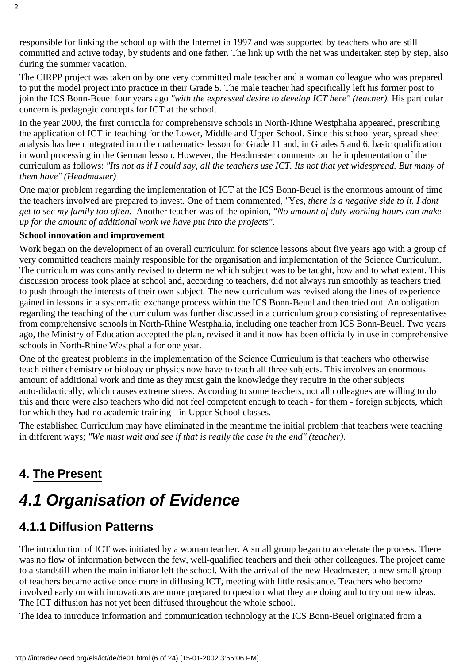responsible for linking the school up with the Internet in 1997 and was supported by teachers who are still committed and active today, by students and one father. The link up with the net was undertaken step by step, also during the summer vacation.

The CIRPP project was taken on by one very committed male teacher and a woman colleague who was prepared to put the model project into practice in their Grade 5. The male teacher had specifically left his former post to join the ICS Bonn-Beuel four years ago *"with the expressed desire to develop ICT here" (teacher).* His particular concern is pedagogic concepts for ICT at the school.

In the year 2000, the first curricula for comprehensive schools in North-Rhine Westphalia appeared, prescribing the application of ICT in teaching for the Lower, Middle and Upper School. Since this school year, spread sheet analysis has been integrated into the mathematics lesson for Grade 11 and, in Grades 5 and 6, basic qualification in word processing in the German lesson. However, the Headmaster comments on the implementation of the curriculum as follows: *"Its not as if I could say, all the teachers use ICT. Its not that yet widespread. But many of them have" (Headmaster)*

One major problem regarding the implementation of ICT at the ICS Bonn-Beuel is the enormous amount of time the teachers involved are prepared to invest. One of them commented, *"*Y*es, there is a negative side to it. I dont get to see my family too often.* Another teacher was of the opinion, *"No amount of duty working hours can make up for the amount of additional work we have put into the projects"*.

#### **School innovation and improvement**

Work began on the development of an overall curriculum for science lessons about five years ago with a group of very committed teachers mainly responsible for the organisation and implementation of the Science Curriculum. The curriculum was constantly revised to determine which subject was to be taught, how and to what extent. This discussion process took place at school and, according to teachers, did not always run smoothly as teachers tried to push through the interests of their own subject. The new curriculum was revised along the lines of experience gained in lessons in a systematic exchange process within the ICS Bonn-Beuel and then tried out. An obligation regarding the teaching of the curriculum was further discussed in a curriculum group consisting of representatives from comprehensive schools in North-Rhine Westphalia, including one teacher from ICS Bonn-Beuel. Two years ago, the Ministry of Education accepted the plan, revised it and it now has been officially in use in comprehensive schools in North-Rhine Westphalia for one year.

One of the greatest problems in the implementation of the Science Curriculum is that teachers who otherwise teach either chemistry or biology or physics now have to teach all three subjects. This involves an enormous amount of additional work and time as they must gain the knowledge they require in the other subjects auto-didactically, which causes extreme stress. According to some teachers, not all colleagues are willing to do this and there were also teachers who did not feel competent enough to teach - for them - foreign subjects, which for which they had no academic training - in Upper School classes.

The established Curriculum may have eliminated in the meantime the initial problem that teachers were teaching in different ways; *"We must wait and see if that is really the case in the end" (teacher)*.

### <span id="page-5-0"></span>**4. The Present**

# <span id="page-5-1"></span>*4.1 Organisation of Evidence*

### <span id="page-5-2"></span>**4.1.1 Diffusion Patterns**

The introduction of ICT was initiated by a woman teacher. A small group began to accelerate the process. There was no flow of information between the few, well-qualified teachers and their other colleagues. The project came to a standstill when the main initiator left the school. With the arrival of the new Headmaster, a new small group of teachers became active once more in diffusing ICT, meeting with little resistance. Teachers who become involved early on with innovations are more prepared to question what they are doing and to try out new ideas. The ICT diffusion has not yet been diffused throughout the whole school.

The idea to introduce information and communication technology at the ICS Bonn-Beuel originated from a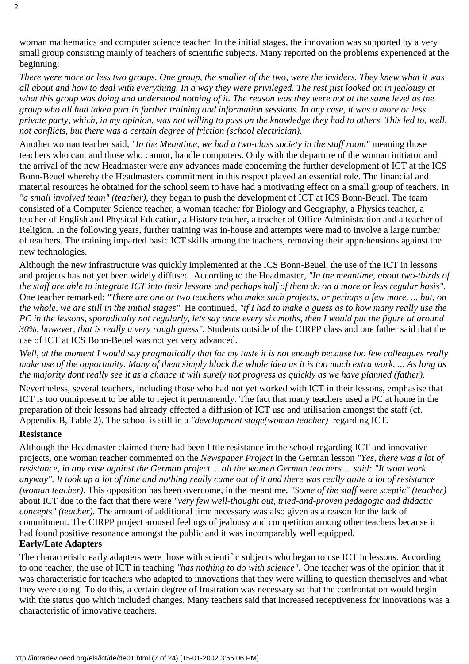woman mathematics and computer science teacher. In the initial stages, the innovation was supported by a very small group consisting mainly of teachers of scientific subjects. Many reported on the problems experienced at the beginning:

*There were more or less two groups. One group, the smaller of the two, were the insiders. They knew what it was all about and how to deal with everything. In a way they were privileged. The rest just looked on in jealousy at what this group was doing and understood nothing of it. The reason was they were not at the same level as the group who all had taken part in further training and information sessions. In any case, it was a more or less private party, which, in my opinion, was not willing to pass on the knowledge they had to others. This led to, well, not conflicts, but there was a certain degree of friction (school electrician).*

Another woman teacher said, *"In the Meantime, we had a two-class society in the staff room"* meaning those teachers who can, and those who cannot, handle computers. Only with the departure of the woman initiator and the arrival of the new Headmaster were any advances made concerning the further development of ICT at the ICS Bonn-Beuel whereby the Headmaster s commitment in this respect played an essential role. The financial and material resources he obtained for the school seem to have had a motivating effect on a small group of teachers. In *"a small involved team" (teacher),* they began to push the development of ICT at ICS Bonn-Beuel. The team consisted of a Computer Science teacher, a woman teacher for Biology and Geography, a Physics teacher, a teacher of English and Physical Education, a History teacher, a teacher of Office Administration and a teacher of Religion. In the following years, further training was in-house and attempts were mad to involve a large number of teachers. The training imparted basic ICT skills among the teachers, removing their apprehensions against the new technologies.

Although the new infrastructure was quickly implemented at the ICS Bonn-Beuel, the use of the ICT in lessons and projects has not yet been widely diffused. According to the Headmaster, *"In the meantime, about two-thirds of the staff are able to integrate ICT into their lessons and perhaps half of them do on a more or less regular basis".* One teacher remarked: *"There are one or two teachers who make such projects, or perhaps a few more. ... but, on the whole, we are still in the initial stages".* He continued, *"if I had to make a guess as to how many really use the PC in the lessons, sporadically not regularly, lets say once every six moths, then I would put the figure at around 30%, however, that is really a very rough guess".* Students outside of the CIRPP class and one father said that the use of ICT at ICS Bonn-Beuel was not yet very advanced.

*Well, at the moment I would say pragmatically that for my taste it is not enough because too few colleagues really make use of the opportunity. Many of them simply block the whole idea as it is too much extra work. ... As long as the majority dont really see it as a chance it will surely not progress as quickly as we have planned (father).*

Nevertheless, several teachers, including those who had not yet worked with ICT in their lessons, emphasise that ICT is too omnipresent to be able to reject it permanently. The fact that many teachers used a PC at home in the preparation of their lessons had already effected a diffusion of ICT use and utilisation amongst the staff (cf. Appendix B, Table 2). The school is still in a *"development stage(woman teacher)* regarding ICT*.*

#### **Resistance**

Although the Headmaster claimed there had been little resistance in the school regarding ICT and innovative projects, one woman teacher commented on the *Newspaper Project* in the German lesson *"Yes, there was a lot of resistance, in any case against the German project ... all the women German teachers ... said: "It wont work anyway". It took up a lot of time and nothing really came out of it and there was really quite a lot of resistance (woman teacher).* This opposition has been overcome, in the meantime*. "Some of the staff were sceptic" (teacher)* about ICT due to the fact that there were *"very few well-thought out, tried-and-proven pedagogic and didactic concepts" (teacher).* The amount of additional time necessary was also given as a reason for the lack of commitment. The CIRPP project aroused feelings of jealousy and competition among other teachers because it had found positive resonance amongst the public and it was incomparably well equipped. **Early/Late Adapters**

The characteristic early adapters were those with scientific subjects who began to use ICT in lessons. According to one teacher, the use of ICT in teaching *"has nothing to do with science".* One teacher was of the opinion that it was characteristic for teachers who adapted to innovations that they were willing to question themselves and what they were doing. To do this, a certain degree of frustration was necessary so that the confrontation would begin with the status quo which included changes. Many teachers said that increased receptiveness for innovations was a characteristic of innovative teachers.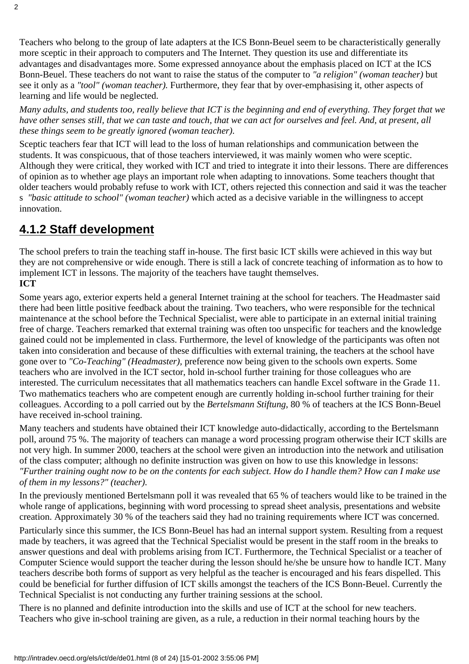Teachers who belong to the group of late adapters at the ICS Bonn-Beuel seem to be characteristically generally more sceptic in their approach to computers and The Internet. They question its use and differentiate its advantages and disadvantages more. Some expressed annoyance about the emphasis placed on ICT at the ICS Bonn-Beuel. These teachers do not want to raise the status of the computer to *"a religion" (woman teacher)* but see it only as a *"tool" (woman teacher).* Furthermore, they fear that by over-emphasising it, other aspects of learning and life would be neglected.

*Many adults, and students too, really believe that ICT is the beginning and end of everything. They forget that we have other senses still, that we can taste and touch, that we can act for ourselves and feel. And, at present, all these things seem to be greatly ignored (woman teacher).*

Sceptic teachers fear that ICT will lead to the loss of human relationships and communication between the students. It was conspicuous, that of those teachers interviewed, it was mainly women who were sceptic. Although they were critical, they worked with ICT and tried to integrate it into their lessons. There are differences of opinion as to whether age plays an important role when adapting to innovations. Some teachers thought that older teachers would probably refuse to work with ICT, others rejected this connection and said it was the teacher s *"basic attitude to school" (woman teacher)* which acted as a decisive variable in the willingness to accept innovation.

## <span id="page-7-0"></span>**4.1.2 Staff development**

The school prefers to train the teaching staff in-house. The first basic ICT skills were achieved in this way but they are not comprehensive or wide enough. There is still a lack of concrete teaching of information as to how to implement ICT in lessons. The majority of the teachers have taught themselves. **ICT**

Some years ago, exterior experts held a general Internet training at the school for teachers. The Headmaster said there had been little positive feedback about the training. Two teachers, who were responsible for the technical maintenance at the school before the Technical Specialist, were able to participate in an external initial training free of charge. Teachers remarked that external training was often too unspecific for teachers and the knowledge gained could not be implemented in class. Furthermore, the level of knowledge of the participants was often not taken into consideration and because of these difficulties with external training, the teachers at the school have gone over to *"Co-Teaching" (Headmaster),* preference now being given to the schools own experts. Some teachers who are involved in the ICT sector, hold in-school further training for those colleagues who are interested. The curriculum necessitates that all mathematics teachers can handle Excel software in the Grade 11. Two mathematics teachers who are competent enough are currently holding in-school further training for their colleagues. According to a poll carried out by the *Bertelsmann Stiftung*, 80 % of teachers at the ICS Bonn-Beuel have received in-school training.

Many teachers and students have obtained their ICT knowledge auto-didactically, according to the Bertelsmann poll, around 75 %. The majority of teachers can manage a word processing program otherwise their ICT skills are not very high. In summer 2000, teachers at the school were given an introduction into the network and utilisation of the class computer; although no definite instruction was given on how to use this knowledge in lessons: *"Further training ought now to be on the contents for each subject. How do I handle them? How can I make use of them in my lessons?" (teacher).*

In the previously mentioned Bertelsmann poll it was revealed that 65 % of teachers would like to be trained in the whole range of applications, beginning with word processing to spread sheet analysis, presentations and website creation. Approximately 30 % of the teachers said they had no training requirements where ICT was concerned. Particularly since this summer, the ICS Bonn-Beuel has had an internal support system. Resulting from a request made by teachers, it was agreed that the Technical Specialist would be present in the staff room in the breaks to answer questions and deal with problems arising from ICT. Furthermore, the Technical Specialist or a teacher of Computer Science would support the teacher during the lesson should he/she be unsure how to handle ICT. Many teachers describe both forms of support as very helpful as the teacher is encouraged and his fears dispelled. This could be beneficial for further diffusion of ICT skills amongst the teachers of the ICS Bonn-Beuel. Currently the Technical Specialist is not conducting any further training sessions at the school.

There is no planned and definite introduction into the skills and use of ICT at the school for new teachers. Teachers who give in-school training are given, as a rule, a reduction in their normal teaching hours by the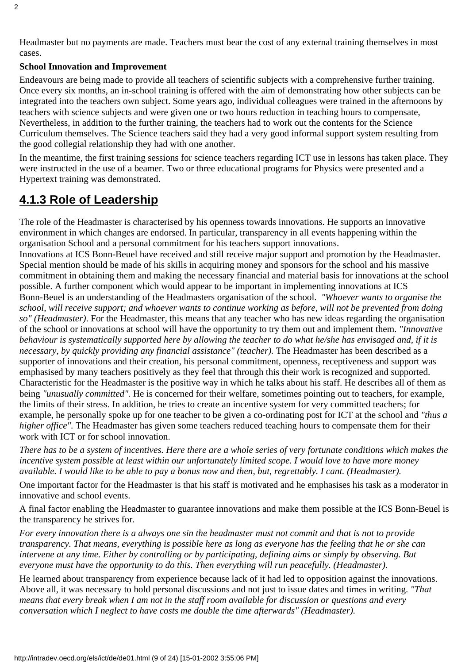Headmaster but no payments are made. Teachers must bear the cost of any external training themselves in most cases.

#### **School Innovation and Improvement**

Endeavours are being made to provide all teachers of scientific subjects with a comprehensive further training. Once every six months, an in-school training is offered with the aim of demonstrating how other subjects can be integrated into the teacher s own subject. Some years ago, individual colleagues were trained in the afternoons by teachers with science subjects and were given one or two hours reduction in teaching hours to compensate, Nevertheless, in addition to the further training, the teachers had to work out the contents for the Science Curriculum themselves. The Science teachers said they had a very good informal support system resulting from the good collegial relationship they had with one another.

In the meantime, the first training sessions for science teachers regarding ICT use in lessons has taken place. They were instructed in the use of a beamer. Two or three educational programs for Physics were presented and a Hypertext training was demonstrated.

### <span id="page-8-0"></span>**4.1.3 Role of Leadership**

The role of the Headmaster is characterised by his openness towards innovations. He supports an innovative environment in which changes are endorsed. In particular, transparency in all events happening within the organisation School and a personal commitment for his teachers support innovations.

Innovations at ICS Bonn-Beuel have received and still receive major support and promotion by the Headmaster. Special mention should be made of his skills in acquiring money and sponsors for the school and his massive commitment in obtaining them and making the necessary financial and material basis for innovations at the school possible. A further component which would appear to be important in implementing innovations at ICS Bonn-Beuel is an understanding of the Headmasters organisation of the school. *"Whoever wants to organise the school, will receive support; and whoever wants to continue working as before, will not be prevented from doing so" (Headmaster)*. For the Headmaster, this means that any teacher who has new ideas regarding the organisation of the school or innovations at school will have the opportunity to try them out and implement them. *"Innovative behaviour is systematically supported here by allowing the teacher to do what he/she has envisaged and, if it is necessary, by quickly providing any financial assistance" (teacher).* The Headmaster has been described as a supporter of innovations and their creation, his personal commitment, openness, receptiveness and support was emphasised by many teachers positively as they feel that through this their work is recognized and supported. Characteristic for the Headmaster is the positive way in which he talks about his staff. He describes all of them as being *"unusually committed"*. He is concerned for their welfare, sometimes pointing out to teachers, for example, the limits of their stress. In addition, he tries to create an incentive system for very committed teachers; for example, he personally spoke up for one teacher to be given a co-ordinating post for ICT at the school and *"thus a higher office"*. The Headmaster has given some teachers reduced teaching hours to compensate them for their work with ICT or for school innovation.

*There has to be a system of incentives. Here there are a whole series of very fortunate conditions which makes the incentive system possible at least within our unfortunately limited scope. I would love to have more money available. I would like to be able to pay a bonus now and then, but, regrettably. I cant. (Headmaster).*

One important factor for the Headmaster is that his staff is motivated and he emphasises his task as a moderator in innovative and school events.

A final factor enabling the Headmaster to guarantee innovations and make them possible at the ICS Bonn-Beuel is the transparency he strives for.

*For every innovation there is a always one sin the headmaster must not commit and that is not to provide transparency. That means, everything is possible here as long as everyone has the feeling that he or she can intervene at any time. Either by controlling or by participating, defining aims or simply by observing. But everyone must have the opportunity to do this. Then everything will run peacefully. (Headmaster).*

He learned about transparency from experience because lack of it had led to opposition against the innovations. Above all, it was necessary to hold personal discussions and not just to issue dates and times in writing. *"That means that every break when I am not in the staff room available for discussion or questions and every conversation which I neglect to have costs me double the time afterwards" (Headmaster).*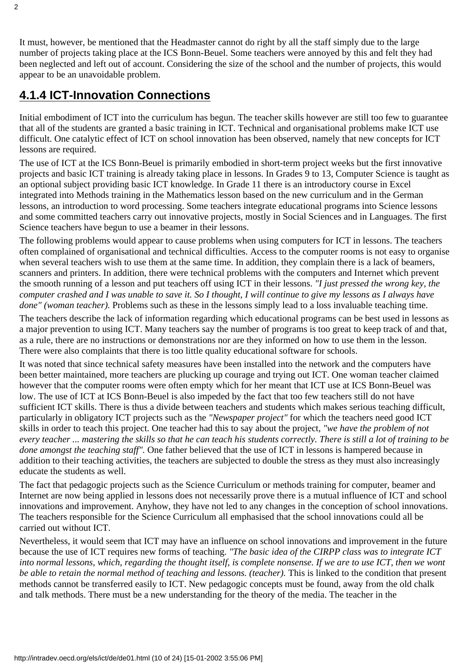It must, however, be mentioned that the Headmaster cannot do right by all the staff simply due to the large number of projects taking place at the ICS Bonn-Beuel. Some teachers were annoyed by this and felt they had been neglected and left out of account. Considering the size of the school and the number of projects, this would appear to be an unavoidable problem.

### <span id="page-9-0"></span>**4.1.4 ICT-Innovation Connections**

Initial embodiment of ICT into the curriculum has begun. The teacher skills however are still too few to guarantee that all of the students are granted a basic training in ICT. Technical and organisational problems make ICT use difficult. One catalytic effect of ICT on school innovation has been observed, namely that new concepts for ICT lessons are required.

The use of ICT at the ICS Bonn-Beuel is primarily embodied in short-term project weeks but the first innovative projects and basic ICT training is already taking place in lessons. In Grades 9 to 13, Computer Science is taught as an optional subject providing basic ICT knowledge. In Grade 11 there is an introductory course in Excel integrated into Methods training in the Mathematics lesson based on the new curriculum and in the German lessons, an introduction to word processing. Some teachers integrate educational programs into Science lessons and some committed teachers carry out innovative projects, mostly in Social Sciences and in Languages. The first Science teachers have begun to use a beamer in their lessons.

The following problems would appear to cause problems when using computers for ICT in lessons. The teachers often complained of organisational and technical difficulties. Access to the computer rooms is not easy to organise when several teachers wish to use them at the same time. In addition, they complain there is a lack of beamers, scanners and printers. In addition, there were technical problems with the computers and Internet which prevent the smooth running of a lesson and put teachers off using ICT in their lessons. *"I just pressed the wrong key, the computer crashed and I was unable to save it. So I thought, I will continue to give my lessons as I always have done" (woman teacher).* Problems such as these in the lessons simply lead to a loss invaluable teaching time.

The teachers describe the lack of information regarding which educational programs can be best used in lessons as a major prevention to using ICT. Many teachers say the number of programs is too great to keep track of and that, as a rule, there are no instructions or demonstrations nor are they informed on how to use them in the lesson. There were also complaints that there is too little quality educational software for schools.

It was noted that since technical safety measures have been installed into the network and the computers have been better maintained, more teachers are plucking up courage and trying out ICT. One woman teacher claimed however that the computer rooms were often empty which for her meant that ICT use at ICS Bonn-Beuel was low. The use of ICT at ICS Bonn-Beuel is also impeded by the fact that too few teachers still do not have sufficient ICT skills. There is thus a divide between teachers and students which makes serious teaching difficult, particularly in obligatory ICT projects such as the *"Newspaper project"* for which the teachers need good ICT skills in order to teach this project. One teacher had this to say about the project, *"we have the problem of not every teacher ... mastering the skills so that he can teach his students correctly. There is still a lot of training to be done amongst the teaching staff".* One father believed that the use of ICT in lessons is hampered because in addition to their teaching activities, the teachers are subjected to double the stress as they must also increasingly educate the students as well.

The fact that pedagogic projects such as the Science Curriculum or methods training for computer, beamer and Internet are now being applied in lessons does not necessarily prove there is a mutual influence of ICT and school innovations and improvement. Anyhow, they have not led to any changes in the conception of school innovations. The teachers responsible for the Science Curriculum all emphasised that the school innovations could all be carried out without ICT.

Nevertheless, it would seem that ICT may have an influence on school innovations and improvement in the future because the use of ICT requires new forms of teaching. *"The basic idea of the CIRPP class was to integrate ICT* into normal lessons, which, regarding the thought itself, is complete nonsense. If we are to use ICT, then we won t *be able to retain the normal method of teaching and lessons. (teacher).* This is linked to the condition that present methods cannot be transferred easily to ICT. New pedagogic concepts must be found, away from the old chalk and talk methods. There must be a new understanding for the theory of the media. The teacher in the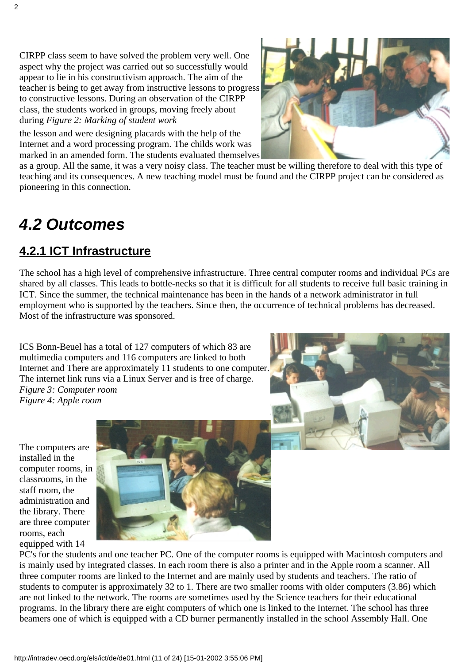CIRPP class seem to have solved the problem very well. One aspect why the project was carried out so successfully would appear to lie in his constructivism approach. The aim of the teacher is being to get away from instructive lessons to progress to constructive lessons. During an observation of the CIRPP class, the students worked in groups, moving freely about during *Figure 2: Marking of student work*

the lesson and were designing placards with the help of the Internet and a word processing program. The child s work was marked in an amended form. The students evaluated themselves

as a group. All the same, it was a very noisy class. The teacher must be willing therefore to deal with this type of teaching and its consequences. A new teaching model must be found and the CIRPP project can be considered as pioneering in this connection.

# <span id="page-10-0"></span>*4.2 Outcomes*

### <span id="page-10-1"></span>**4.2.1 ICT Infrastructure**

The school has a high level of comprehensive infrastructure. Three central computer rooms and individual PCs are shared by all classes. This leads to bottle-necks so that it is difficult for all students to receive full basic training in ICT. Since the summer, the technical maintenance has been in the hands of a network administrator in full employment who is supported by the teachers. Since then, the occurrence of technical problems has decreased. Most of the infrastructure was sponsored.

ICS Bonn-Beuel has a total of 127 computers of which 83 are multimedia computers and 116 computers are linked to both Internet and There are approximately 11 students to one computer. The internet link runs via a Linux Server and is free of charge. *Figure 3: Computer room Figure 4: Apple room*



The computers are installed in the computer rooms, in classrooms, in the staff room, the administration and the library. There are three computer rooms, each equipped with 14



PC's for the students and one teacher PC. One of the computer rooms is equipped with Macintosh computers and is mainly used by integrated classes. In each room there is also a printer and in the Apple room a scanner. All three computer rooms are linked to the Internet and are mainly used by students and teachers. The ratio of students to computer is approximately 32 to 1. There are two smaller rooms with older computers (3.86) which are not linked to the network. The rooms are sometimes used by the Science teachers for their educational programs. In the library there are eight computers of which one is linked to the Internet. The school has three beamers one of which is equipped with a CD burner permanently installed in the school Assembly Hall. One

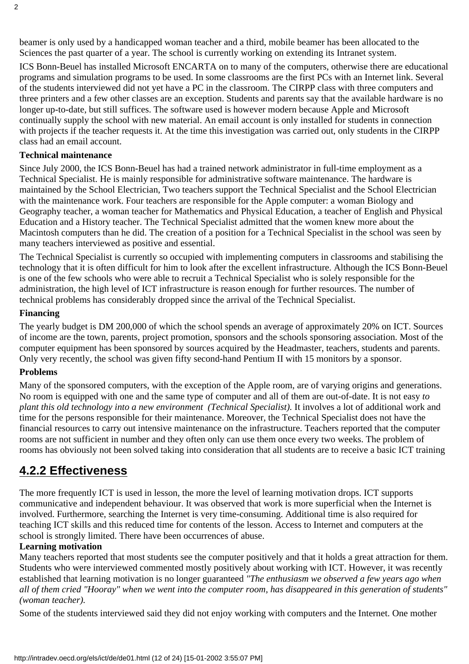beamer is only used by a handicapped woman teacher and a third, mobile beamer has been allocated to the Sciences the past quarter of a year. The school is currently working on extending its Intranet system.

ICS Bonn-Beuel has installed Microsoft ENCARTA on to many of the computers, otherwise there are educational programs and simulation programs to be used. In some classrooms are the first PCs with an Internet link. Several of the students interviewed did not yet have a PC in the classroom. The CIRPP class with three computers and three printers and a few other classes are an exception. Students and parents say that the available hardware is no longer up-to-date, but still suffices. The software used is however modern because Apple and Microsoft continually supply the school with new material. An email account is only installed for students in connection with projects if the teacher requests it. At the time this investigation was carried out, only students in the CIRPP class had an email account.

#### **Technical maintenance**

Since July 2000, the ICS Bonn-Beuel has had a trained network administrator in full-time employment as a Technical Specialist. He is mainly responsible for administrative software maintenance. The hardware is maintained by the School Electrician, Two teachers support the Technical Specialist and the School Electrician with the maintenance work. Four teachers are responsible for the Apple computer: a woman Biology and Geography teacher, a woman teacher for Mathematics and Physical Education, a teacher of English and Physical Education and a History teacher. The Technical Specialist admitted that the women knew more about the Macintosh computers than he did. The creation of a position for a Technical Specialist in the school was seen by many teachers interviewed as positive and essential.

The Technical Specialist is currently so occupied with implementing computers in classrooms and stabilising the technology that it is often difficult for him to look after the excellent infrastructure. Although the ICS Bonn-Beuel is one of the few schools who were able to recruit a Technical Specialist who is solely responsible for the administration, the high level of ICT infrastructure is reason enough for further resources. The number of technical problems has considerably dropped since the arrival of the Technical Specialist.

#### **Financing**

The yearly budget is DM 200,000 of which the school spends an average of approximately 20% on ICT. Sources of income are the town, parents, project promotion, sponsors and the schools sponsoring association. Most of the computer equipment has been sponsored by sources acquired by the Headmaster, teachers, students and parents. Only very recently, the school was given fifty second-hand Pentium II with 15 monitors by a sponsor.

#### **Problems**

Many of the sponsored computers, with the exception of the Apple room, are of varying origins and generations. No room is equipped with one and the same type of computer and all of them are out-of-date. It is not easy *to plant this old technology into a new environment (Technical Specialist).* It involves a lot of additional work and time for the persons responsible for their maintenance. Moreover, the Technical Specialist does not have the financial resources to carry out intensive maintenance on the infrastructure. Teachers reported that the computer rooms are not sufficient in number and they often only can use them once every two weeks. The problem of rooms has obviously not been solved taking into consideration that all students are to receive a basic ICT training

### <span id="page-11-0"></span>**4.2.2 Effectiveness**

The more frequently ICT is used in lesson, the more the level of learning motivation drops. ICT supports communicative and independent behaviour. It was observed that work is more superficial when the Internet is involved. Furthermore, searching the Internet is very time-consuming. Additional time is also required for teaching ICT skills and this reduced time for contents of the lesson. Access to Internet and computers at the school is strongly limited. There have been occurrences of abuse.

#### **Learning motivation**

Many teachers reported that most students see the computer positively and that it holds a great attraction for them. Students who were interviewed commented mostly positively about working with ICT. However, it was recently established that learning motivation is no longer guaranteed *"The enthusiasm we observed a few years ago when all of them cried "Hooray" when we went into the computer room, has disappeared in this generation of students" (woman teacher).*

Some of the students interviewed said they did not enjoy working with computers and the Internet. One mother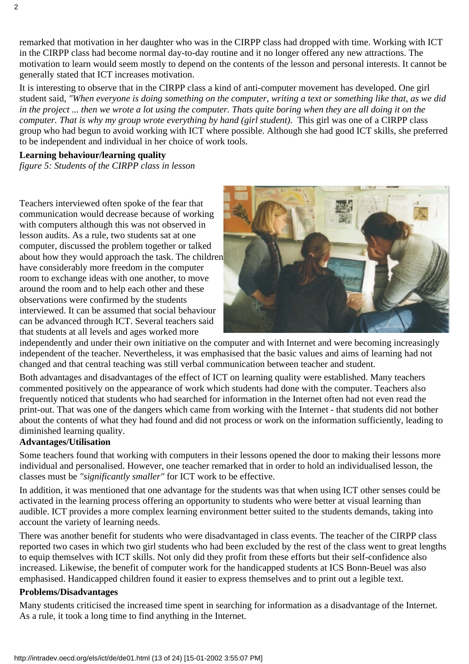remarked that motivation in her daughter who was in the CIRPP class had dropped with time. Working with ICT in the CIRPP class had become normal day-to-day routine and it no longer offered any new attractions. The motivation to learn would seem mostly to depend on the contents of the lesson and personal interests. It cannot be generally stated that ICT increases motivation.

It is interesting to observe that in the CIRPP class a kind of anti-computer movement has developed. One girl student said, *"When everyone is doing something on the computer, writing a text or something like that, as we did* in the project ... then we wrote a lot using the computer. That s quite boring when they are all doing it on the *computer. That is why my group wrote everything by hand (girl student).* This girl was one of a CIRPP class group who had begun to avoid working with ICT where possible. Although she had good ICT skills, she preferred to be independent and individual in her choice of work tools.

#### **Learning behaviour/learning quality**

*figure 5: Students of the CIRPP class in lesson*

Teachers interviewed often spoke of the fear that communication would decrease because of working with computers although this was not observed in lesson audits. As a rule, two students sat at one computer, discussed the problem together or talked about how they would approach the task. The children have considerably more freedom in the computer room to exchange ideas with one another, to move around the room and to help each other and these observations were confirmed by the students interviewed. It can be assumed that social behaviour can be advanced through ICT. Several teachers said that students at all levels and ages worked more



independently and under their own initiative on the computer and with Internet and were becoming increasingly independent of the teacher. Nevertheless, it was emphasised that the basic values and aims of learning had not changed and that central teaching was still verbal communication between teacher and student.

Both advantages and disadvantages of the effect of ICT on learning quality were established. Many teachers commented positively on the appearance of work which students had done with the computer. Teachers also frequently noticed that students who had searched for information in the Internet often had not even read the print-out. That was one of the dangers which came from working with the Internet - that students did not bother about the contents of what they had found and did not process or work on the information sufficiently, leading to diminished learning quality.

#### **Advantages/Utilisation**

Some teachers found that working with computers in their lessons opened the door to making their lessons more individual and personalised. However, one teacher remarked that in order to hold an individualised lesson, the classes must be *"significantly smaller"* for ICT work to be effective.

In addition, it was mentioned that one advantage for the students was that when using ICT other senses could be activated in the learning process offering an opportunity to students who were better at visual learning than audible. ICT provides a more complex learning environment better suited to the students demands, taking into account the variety of learning needs.

There was another benefit for students who were disadvantaged in class events. The teacher of the CIRPP class reported two cases in which two girl students who had been excluded by the rest of the class went to great lengths to equip themselves with ICT skills. Not only did they profit from these efforts but their self-confidence also increased. Likewise, the benefit of computer work for the handicapped students at ICS Bonn-Beuel was also emphasised. Handicapped children found it easier to express themselves and to print out a legible text.

#### **Problems/Disadvantages**

Many students criticised the increased time spent in searching for information as a disadvantage of the Internet. As a rule, it took a long time to find anything in the Internet.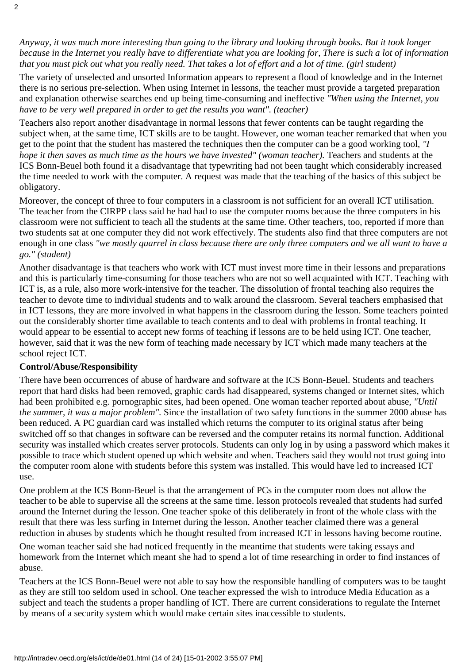*Anyway, it was much more interesting than going to the library and looking through books. But it took longer because in the Internet you really have to differentiate what you are looking for, There is such a lot of information that you must pick out what you really need. That takes a lot of effort and a lot of time. (girl student)*

The variety of unselected and unsorted Information appears to represent a flood of knowledge and in the Internet there is no serious pre-selection. When using Internet in lessons, the teacher must provide a targeted preparation and explanation otherwise searches end up being time-consuming and ineffective *"When using the Internet, you have to be very well prepared in order to get the results you want". (teacher)*

Teachers also report another disadvantage in normal lessons that fewer contents can be taught regarding the subject when, at the same time, ICT skills are to be taught. However, one woman teacher remarked that when you get to the point that the student has mastered the techniques then the computer can be a good working tool, *"I hope it then saves as much time as the hours we have invested" (woman teacher).* Teachers and students at the ICS Bonn-Beuel both found it a disadvantage that typewriting had not been taught which considerably increased the time needed to work with the computer. A request was made that the teaching of the basics of this subject be obligatory.

Moreover, the concept of three to four computers in a classroom is not sufficient for an overall ICT utilisation. The teacher from the CIRPP class said he had had to use the computer rooms because the three computers in his classroom were not sufficient to teach all the students at the same time. Other teachers, too, reported if more than two students sat at one computer they did not work effectively. The students also find that three computers are not enough in one class *"we mostly quarrel in class because there are only three computers and we all want to have a go." (student)*

Another disadvantage is that teachers who work with ICT must invest more time in their lessons and preparations and this is particularly time-consuming for those teachers who are not so well acquainted with ICT. Teaching with ICT is, as a rule, also more work-intensive for the teacher. The dissolution of frontal teaching also requires the teacher to devote time to individual students and to walk around the classroom. Several teachers emphasised that in ICT lessons, they are more involved in what happens in the classroom during the lesson. Some teachers pointed out the considerably shorter time available to teach contents and to deal with problems in frontal teaching. It would appear to be essential to accept new forms of teaching if lessons are to be held using ICT. One teacher, however, said that it was the new form of teaching made necessary by ICT which made many teachers at the school reject ICT.

#### **Control/Abuse/Responsibility**

There have been occurrences of abuse of hardware and software at the ICS Bonn-Beuel. Students and teachers report that hard disks had been removed, graphic cards had disappeared, systems changed or Internet sites, which had been prohibited e.g. pornographic sites, had been opened. One woman teacher reported about abuse, *"Until the summer, it was a major problem".* Since the installation of two safety functions in the summer 2000 abuse has been reduced. A PC guardian card was installed which returns the computer to its original status after being switched off so that changes in software can be reversed and the computer retains its normal function. Additional security was installed which creates server protocols. Students can only log in by using a password which makes it possible to trace which student opened up which website and when. Teachers said they would not trust going into the computer room alone with students before this system was installed. This would have led to increased ICT use.

One problem at the ICS Bonn-Beuel is that the arrangement of PC s in the computer room does not allow the teacher to be able to supervise all the screens at the same time. lesson protocols revealed that students had surfed around the Internet during the lesson. One teacher spoke of this deliberately in front of the whole class with the result that there was less surfing in Internet during the lesson. Another teacher claimed there was a general reduction in abuses by students which he thought resulted from increased ICT in lessons having become routine.

One woman teacher said she had noticed frequently in the meantime that students were taking essays and homework from the Internet which meant she had to spend a lot of time researching in order to find instances of abuse.

Teachers at the ICS Bonn-Beuel were not able to say how the responsible handling of computers was to be taught as they are still too seldom used in school. One teacher expressed the wish to introduce Media Education as a subject and teach the students a proper handling of ICT. There are current considerations to regulate the Internet by means of a security system which would make certain sites inaccessible to students.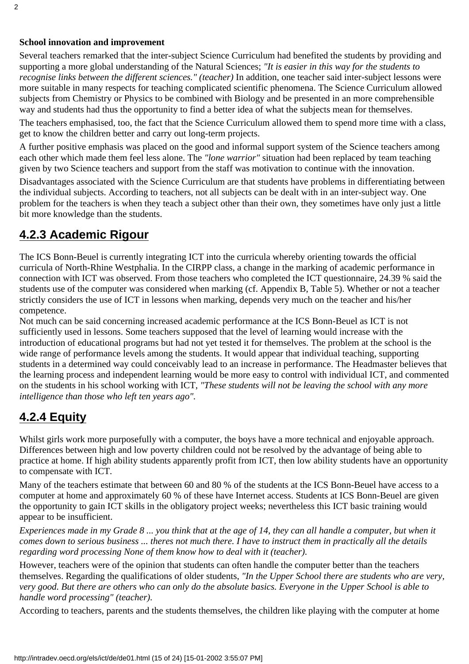#### **School innovation and improvement**

Several teachers remarked that the inter-subject Science Curriculum had benefited the students by providing and supporting a more global understanding of the Natural Sciences; *"It is easier in this way for the students to recognise links between the different sciences." (teacher)* In addition, one teacher said inter-subject lessons were more suitable in many respects for teaching complicated scientific phenomena. The Science Curriculum allowed subjects from Chemistry or Physics to be combined with Biology and be presented in an more comprehensible way and students had thus the opportunity to find a better idea of what the subjects mean for themselves.

The teachers emphasised, too, the fact that the Science Curriculum allowed them to spend more time with a class, get to know the children better and carry out long-term projects.

A further positive emphasis was placed on the good and informal support system of the Science teachers among each other which made them feel less alone. The *"lone warrior"* situation had been replaced by team teaching given by two Science teachers and support from the staff was motivation to continue with the innovation.

Disadvantages associated with the Science Curriculum are that students have problems in differentiating between the individual subjects. According to teachers, not all subjects can be dealt with in an inter-subject way. One problem for the teachers is when they teach a subject other than their own, they sometimes have only just a little bit more knowledge than the students.

### <span id="page-14-0"></span>**4.2.3 Academic Rigour**

The ICS Bonn-Beuel is currently integrating ICT into the curricula whereby orienting towards the official curricula of North-Rhine Westphalia. In the CIRPP class, a change in the marking of academic performance in connection with ICT was observed. From those teachers who completed the ICT questionnaire, 24.39 % said the students use of the computer was considered when marking (cf. Appendix B, Table 5). Whether or not a teacher strictly considers the use of ICT in lessons when marking, depends very much on the teacher and his/her competence.

Not much can be said concerning increased academic performance at the ICS Bonn-Beuel as ICT is not sufficiently used in lessons. Some teachers supposed that the level of learning would increase with the introduction of educational programs but had not yet tested it for themselves. The problem at the school is the wide range of performance levels among the students. It would appear that individual teaching, supporting students in a determined way could conceivably lead to an increase in performance. The Headmaster believes that the learning process and independent learning would be more easy to control with individual ICT, and commented on the students in his school working with ICT, *"These students will not be leaving the school with any more intelligence than those who left ten years ago".*

### <span id="page-14-1"></span>**4.2.4 Equity**

Whilst girls work more purposefully with a computer, the boys have a more technical and enjoyable approach. Differences between high and low poverty children could not be resolved by the advantage of being able to practice at home. If high ability students apparently profit from ICT, then low ability students have an opportunity to compensate with ICT.

Many of the teachers estimate that between 60 and 80 % of the students at the ICS Bonn-Beuel have access to a computer at home and approximately 60 % of these have Internet access. Students at ICS Bonn-Beuel are given the opportunity to gain ICT skills in the obligatory project weeks; nevertheless this ICT basic training would appear to be insufficient.

*Experiences made in my Grade 8 ... you think that at the age of 14, they can all handle a computer, but when it comes down to serious business ... there s not much there. I have to instruct them in practically all the details regarding word processing None of them know how to deal with it (teacher).*

However, teachers were of the opinion that students can often handle the computer better than the teachers themselves. Regarding the qualifications of older students, *"In the Upper School there are students who are very, very good. But there are others who can only do the absolute basics. Everyone in the Upper School is able to handle word processing" (teacher).*

According to teachers, parents and the students themselves, the children like playing with the computer at home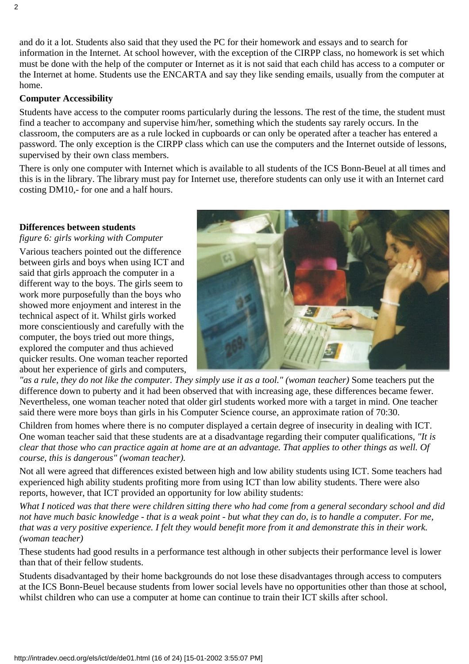and do it a lot. Students also said that they used the PC for their homework and essays and to search for information in the Internet. At school however, with the exception of the CIRPP class, no homework is set which must be done with the help of the computer or Internet as it is not said that each child has access to a computer or the Internet at home. Students use the ENCARTA and say they like sending emails, usually from the computer at home.

#### **Computer Accessibility**

Students have access to the computer rooms particularly during the lessons. The rest of the time, the student must find a teacher to accompany and supervise him/her, something which the students say rarely occurs. In the classroom, the computers are as a rule locked in cupboards or can only be operated after a teacher has entered a password. The only exception is the CIRPP class which can use the computers and the Internet outside of lessons, supervised by their own class members.

There is only one computer with Internet which is available to all students of the ICS Bonn-Beuel at all times and this is in the library. The library must pay for Internet use, therefore students can only use it with an Internet card costing DM10,- for one and a half hours.

#### **Differences between students**

*figure 6: girls working with Computer*

Various teachers pointed out the difference between girls and boys when using ICT and said that girls approach the computer in a different way to the boys. The girls seem to work more purposefully than the boys who showed more enjoyment and interest in the technical aspect of it. Whilst girls worked more conscientiously and carefully with the computer, the boys tried out more things, explored the computer and thus achieved quicker results. One woman teacher reported about her experience of girls and computers,



*"as a rule, they do not like the computer. They simply use it as a tool." (woman teacher)* Some teachers put the difference down to puberty and it had been observed that with increasing age, these differences became fewer. Nevertheless, one woman teacher noted that older girl students worked more with a target in mind. One teacher said there were more boys than girls in his Computer Science course, an approximate ration of 70:30.

Children from homes where there is no computer displayed a certain degree of insecurity in dealing with ICT. One woman teacher said that these students are at a disadvantage regarding their computer qualifications, *"It is clear that those who can practice again at home are at an advantage. That applies to other things as well. Of course, this is dangerous" (woman teacher).*

Not all were agreed that differences existed between high and low ability students using ICT. Some teachers had experienced high ability students profiting more from using ICT than low ability students. There were also reports, however, that ICT provided an opportunity for low ability students:

*What I noticed was that there were children sitting there who had come from a general secondary school and did not have much basic knowledge - that is a weak point - but what they can do, is to handle a computer. For me, that was a very positive experience. I felt they would benefit more from it and demonstrate this in their work. (woman teacher)*

These students had good results in a performance test although in other subjects their performance level is lower than that of their fellow students.

Students disadvantaged by their home backgrounds do not lose these disadvantages through access to computers at the ICS Bonn-Beuel because students from lower social levels have no opportunities other than those at school, whilst children who can use a computer at home can continue to train their ICT skills after school.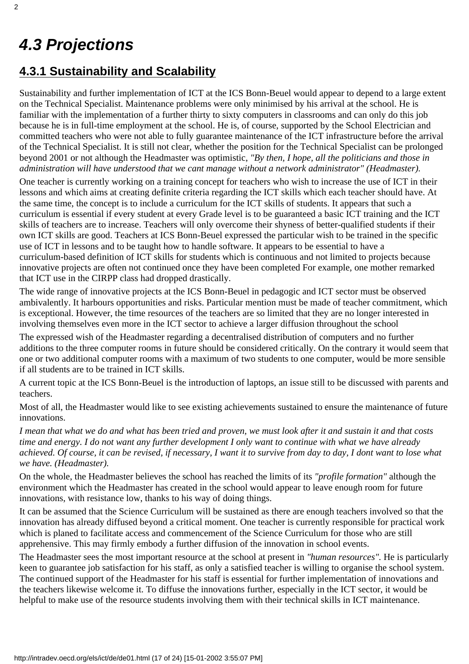# <span id="page-16-0"></span>*4.3 Projections*

### <span id="page-16-1"></span>**4.3.1 Sustainability and Scalability**

Sustainability and further implementation of ICT at the ICS Bonn-Beuel would appear to depend to a large extent on the Technical Specialist. Maintenance problems were only minimised by his arrival at the school. He is familiar with the implementation of a further thirty to sixty computers in classrooms and can only do this job because he is in full-time employment at the school. He is, of course, supported by the School Electrician and committed teachers who were not able to fully guarantee maintenance of the ICT infrastructure before the arrival of the Technical Specialist. It is still not clear, whether the position for the Technical Specialist can be prolonged beyond 2001 or not although the Headmaster was optimistic, *"By then, I hope, all the politicians and those in administration will have understood that we cant manage without a network administrator" (Headmaster).*

One teacher is currently working on a training concept for teachers who wish to increase the use of ICT in their lessons and which aims at creating definite criteria regarding the ICT skills which each teacher should have. At the same time, the concept is to include a curriculum for the ICT skills of students. It appears that such a curriculum is essential if every student at every Grade level is to be guaranteed a basic ICT training and the ICT skills of teachers are to increase. Teachers will only overcome their shyness of better-qualified students if their own ICT skills are good. Teachers at ICS Bonn-Beuel expressed the particular wish to be trained in the specific use of ICT in lessons and to be taught how to handle software. It appears to be essential to have a curriculum-based definition of ICT skills for students which is continuous and not limited to projects because innovative projects are often not continued once they have been completed For example, one mother remarked that ICT use in the CIRPP class had dropped drastically.

The wide range of innovative projects at the ICS Bonn-Beuel in pedagogic and ICT sector must be observed ambivalently. It harbours opportunities and risks. Particular mention must be made of teacher commitment, which is exceptional. However, the time resources of the teachers are so limited that they are no longer interested in involving themselves even more in the ICT sector to achieve a larger diffusion throughout the school

The expressed wish of the Headmaster regarding a decentralised distribution of computers and no further additions to the three computer rooms in future should be considered critically. On the contrary it would seem that one or two additional computer rooms with a maximum of two students to one computer, would be more sensible if all students are to be trained in ICT skills.

A current topic at the ICS Bonn-Beuel is the introduction of laptops, an issue still to be discussed with parents and teachers.

Most of all, the Headmaster would like to see existing achievements sustained to ensure the maintenance of future innovations.

*I mean that what we do and what has been tried and proven, we must look after it and sustain it and that costs time and energy. I do not want any further development I only want to continue with what we have already achieved. Of course, it can be revised, if necessary, I want it to survive from day to day, I dont want to lose what we have. (Headmaster).*

On the whole, the Headmaster believes the school has reached the limits of its *"profile formation"* although the environment which the Headmaster has created in the school would appear to leave enough room for future innovations, with resistance low, thanks to his way of doing things.

It can be assumed that the Science Curriculum will be sustained as there are enough teachers involved so that the innovation has already diffused beyond a critical moment. One teacher is currently responsible for practical work which is planed to facilitate access and commencement of the Science Curriculum for those who are still apprehensive. This may firmly embody a further diffusion of the innovation in school events.

The Headmaster sees the most important resource at the school at present in *"human resources".* He is particularly keen to guarantee job satisfaction for his staff, as only a satisfied teacher is willing to organise the school system. The continued support of the Headmaster for his staff is essential for further implementation of innovations and the teachers likewise welcome it. To diffuse the innovations further, especially in the ICT sector, it would be helpful to make use of the resource students involving them with their technical skills in ICT maintenance.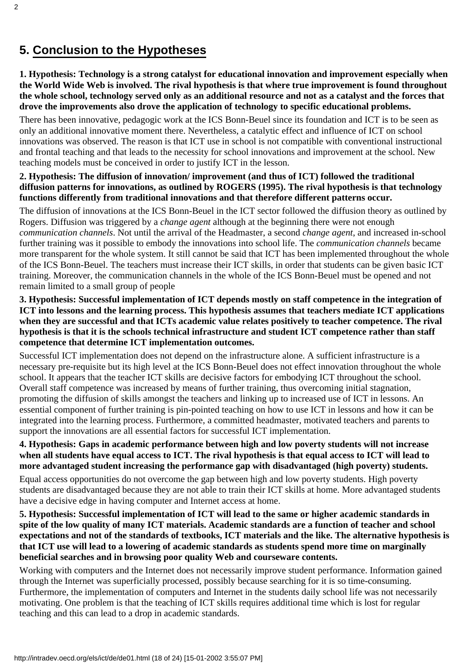### <span id="page-17-0"></span>**5. Conclusion to the Hypotheses**

#### **1. Hypothesis: Technology is a strong catalyst for educational innovation and improvement especially when the World Wide Web is involved. The rival hypothesis is that where true improvement is found throughout the whole school, technology served only as an additional resource and not as a catalyst and the forces that drove the improvements also drove the application of technology to specific educational problems.**

There has been innovative, pedagogic work at the ICS Bonn-Beuel since its foundation and ICT is to be seen as only an additional innovative moment there. Nevertheless, a catalytic effect and influence of ICT on school innovations was observed. The reason is that ICT use in school is not compatible with conventional instructional and frontal teaching and that leads to the necessity for school innovations and improvement at the school. New teaching models must be conceived in order to justify ICT in the lesson.

#### **2. Hypothesis: The diffusion of innovation/ improvement (and thus of ICT) followed the traditional diffusion patterns for innovations, as outlined by ROGERS (1995). The rival hypothesis is that technology functions differently from traditional innovations and that therefore different patterns occur.**

The diffusion of innovations at the ICS Bonn-Beuel in the ICT sector followed the diffusion theory as outlined by Rogers. Diffusion was triggered by a *change agent* although at the beginning there were not enough *communication channels*. Not until the arrival of the Headmaster, a second *change agent*, and increased in-school further training was it possible to embody the innovations into school life. The *communication channels* became more transparent for the whole system. It still cannot be said that ICT has been implemented throughout the whole of the ICS Bonn-Beuel. The teachers must increase their ICT skills, in order that students can be given basic ICT training. Moreover, the communication channels in the whole of the ICS Bonn-Beuel must be opened and not remain limited to a small group of people

#### **3. Hypothesis: Successful implementation of ICT depends mostly on staff competence in the integration of ICT into lessons and the learning process. This hypothesis assumes that teachers mediate ICT applications** when they are successful and that ICT s academic value relates positively to teacher competence. The rival **hypothesis is that it is the schools technical infrastructure and student ICT competence rather than staff competence that determine ICT implementation outcomes.**

Successful ICT implementation does not depend on the infrastructure alone. A sufficient infrastructure is a necessary pre-requisite but its high level at the ICS Bonn-Beuel does not effect innovation throughout the whole school. It appears that the teacher ICT skills are decisive factors for embodying ICT throughout the school. Overall staff competence was increased by means of further training, thus overcoming initial stagnation, promoting the diffusion of skills amongst the teachers and linking up to increased use of ICT in lessons. An essential component of further training is pin-pointed teaching on how to use ICT in lessons and how it can be integrated into the learning process. Furthermore, a committed headmaster, motivated teachers and parents to support the innovations are all essential factors for successful ICT implementation.

#### **4. Hypothesis: Gaps in academic performance between high and low poverty students will not increase when all students have equal access to ICT. The rival hypothesis is that equal access to ICT will lead to more advantaged student increasing the performance gap with disadvantaged (high poverty) students.**

Equal access opportunities do not overcome the gap between high and low poverty students. High poverty students are disadvantaged because they are not able to train their ICT skills at home. More advantaged students have a decisive edge in having computer and Internet access at home.

**5. Hypothesis: Successful implementation of ICT will lead to the same or higher academic standards in spite of the low quality of many ICT materials. Academic standards are a function of teacher and school expectations and not of the standards of textbooks, ICT materials and the like. The alternative hypothesis is that ICT use will lead to a lowering of academic standards as students spend more time on marginally beneficial searches and in browsing poor quality Web and courseware contents.**

Working with computers and the Internet does not necessarily improve student performance. Information gained through the Internet was superficially processed, possibly because searching for it is so time-consuming. Furthermore, the implementation of computers and Internet in the student s daily school life was not necessarily motivating. One problem is that the teaching of ICT skills requires additional time which is lost for regular teaching and this can lead to a drop in academic standards.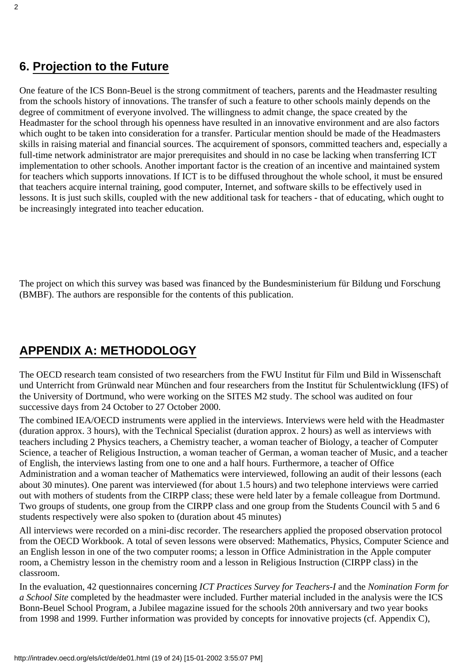<span id="page-18-0"></span>One feature of the ICS Bonn-Beuel is the strong commitment of teachers, parents and the Headmaster resulting from the schools history of innovations. The transfer of such a feature to other schools mainly depends on the degree of commitment of everyone involved. The willingness to admit change, the space created by the Headmaster for the school through his openness have resulted in an innovative environment and are also factors which ought to be taken into consideration for a transfer. Particular mention should be made of the Headmaster s skills in raising material and financial sources. The acquirement of sponsors, committed teachers and, especially a full-time network administrator are major prerequisites and should in no case be lacking when transferring ICT implementation to other schools. Another important factor is the creation of an incentive and maintained system for teachers which supports innovations. If ICT is to be diffused throughout the whole school, it must be ensured that teachers acquire internal training, good computer, Internet, and software skills to be effectively used in lessons. It is just such skills, coupled with the new additional task for teachers - that of educating, which ought to be increasingly integrated into teacher education.

The project on which this survey was based was financed by the Bundesministerium für Bildung und Forschung (BMBF). The authors are responsible for the contents of this publication.

### <span id="page-18-1"></span>**APPENDIX A: METHODOLOGY**

The OECD research team consisted of two researchers from the FWU Institut für Film und Bild in Wissenschaft und Unterricht from Grünwald near München and four researchers from the Institut für Schulentwicklung (IFS) of the University of Dortmund, who were working on the SITES M2 study. The school was audited on four successive days from 24 October to 27 October 2000.

The combined IEA/OECD instruments were applied in the interviews. Interviews were held with the Headmaster (duration approx. 3 hours), with the Technical Specialist (duration approx. 2 hours) as well as interviews with teachers including 2 Physics teachers, a Chemistry teacher, a woman teacher of Biology, a teacher of Computer Science, a teacher of Religious Instruction, a woman teacher of German, a woman teacher of Music, and a teacher of English, the interviews lasting from one to one and a half hours. Furthermore, a teacher of Office Administration and a woman teacher of Mathematics were interviewed, following an audit of their lessons (each about 30 minutes). One parent was interviewed (for about 1.5 hours) and two telephone interviews were carried out with mothers of students from the CIRPP class; these were held later by a female colleague from Dortmund. Two groups of students, one group from the CIRPP class and one group from the Students Council with 5 and 6 students respectively were also spoken to (duration about 45 minutes)

All interviews were recorded on a mini-disc recorder. The researchers applied the proposed observation protocol from the OECD Workbook. A total of seven lessons were observed: Mathematics, Physics, Computer Science and an English lesson in one of the two computer rooms; a lesson in Office Administration in the Apple computer room, a Chemistry lesson in the chemistry room and a lesson in Religious Instruction (CIRPP class) in the classroom.

In the evaluation, 42 questionnaires concerning *ICT Practices Survey for Teachers-I* and the *Nomination Form for a School Site* completed by the headmaster were included. Further material included in the analysis were the ICS Bonn-Beuel School Program, a Jubilee magazine issued for the schools 20th anniversary and two year books from 1998 and 1999. Further information was provided by concepts for innovative projects (cf. Appendix C),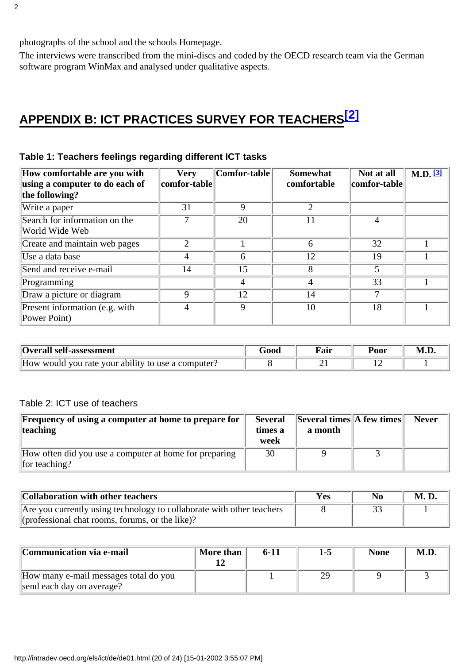photographs of the school and the school s Homepage.

The interviews were transcribed from the mini-discs and coded by the OECD research team via the German software program WinMax and analysed under qualitative aspects.

# <span id="page-19-0"></span>**APPENDIX B: ICT PRACTICES SURVEY FOR TEACHERS[\[2\]](#page-23-0)**

<span id="page-19-1"></span>

| How comfortable are you with<br>using a computer to do each of<br>the following? | <b>Very</b><br>comfor-table | Comfor-table | <b>Somewhat</b><br>comfortable | Not at all<br>comfor-table | $M.D.$ [3] |
|----------------------------------------------------------------------------------|-----------------------------|--------------|--------------------------------|----------------------------|------------|
| Write a paper                                                                    | 31                          | $\mathbf Q$  | $\mathfrak{2}$                 |                            |            |
| Search for information on the<br>World Wide Web                                  |                             | 20           |                                | 4                          |            |
| Create and maintain web pages                                                    | ↑                           |              | 6                              | 32                         |            |
| Use a data base                                                                  |                             | 6            | 12                             | 19                         |            |
| Send and receive e-mail                                                          | 14                          | 15           | 8                              | 5                          |            |
| Programming                                                                      |                             | 4            | 4                              | 33                         |            |
| Draw a picture or diagram                                                        | Q                           | 12           | 14                             |                            |            |
| Present information (e.g. with<br>Power Point)                                   |                             | 9            | 10                             | 18                         |            |

### **Table 1: Teachers feelings regarding different ICT tasks**

| Overall self-assessment                            | G000 | Fair     | Poor | M.D |
|----------------------------------------------------|------|----------|------|-----|
| How would you rate your ability to use a computer? |      | <u>_</u> |      |     |

### Table 2: ICT use of teachers

| <b>Frequency of using a computer at home to prepare for</b><br>teaching | <b>Several</b><br>times a<br>week | $\left\Vert \right\Vert$ Several times $\left\Vert A\right\Vert$ few times $\left\Vert$<br>a month | <b>Never</b> |
|-------------------------------------------------------------------------|-----------------------------------|----------------------------------------------------------------------------------------------------|--------------|
| How often did you use a computer at home for preparing<br>for teaching? | 30                                |                                                                                                    |              |

| Collaboration with other teachers                                     | Yes | No | <b>M.D.</b> |
|-----------------------------------------------------------------------|-----|----|-------------|
| Are you currently using technology to collaborate with other teachers |     |    |             |
| (professional chat rooms, forums, or the like)?                       |     |    |             |

| Communication via e-mail              | More than | 6-11 | $1-5$ | <b>None</b> | M.D. |
|---------------------------------------|-----------|------|-------|-------------|------|
| How many e-mail messages total do you |           |      |       |             |      |
| send each day on average?             |           |      |       |             |      |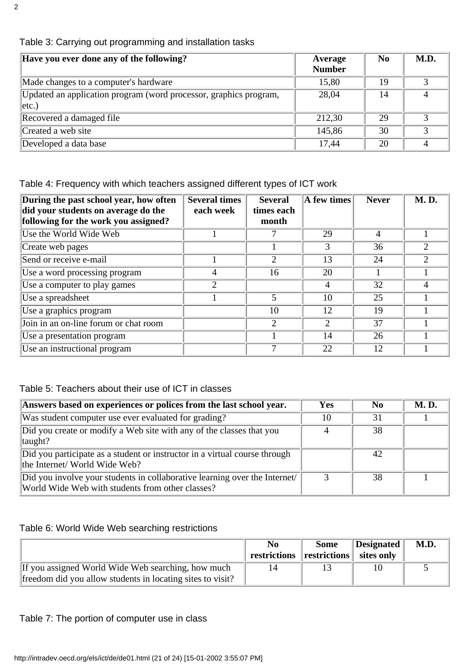| Have you ever done any of the following?                                       | Average<br><b>Number</b> | N <sub>0</sub> | M.D. |
|--------------------------------------------------------------------------------|--------------------------|----------------|------|
| Made changes to a computer's hardware                                          | 15,80                    | 19             |      |
| Updated an application program (word processor, graphics program,<br>$ $ etc.) | 28,04                    | 14             | 4    |
| Recovered a damaged file                                                       | 212,30                   | 29             |      |
| Created a web site                                                             | 145,86                   | 30             | 2    |
| Developed a data base                                                          | 17,44                    | 20             |      |

### Table 3: Carrying out programming and installation tasks

Table 4: Frequency with which teachers assigned different types of ICT work

| During the past school year, how often<br>did your students on average do the | <b>Several times</b><br>each week | <b>Several</b><br>times each | A few times | <b>Never</b> | <b>M.D.</b>                 |
|-------------------------------------------------------------------------------|-----------------------------------|------------------------------|-------------|--------------|-----------------------------|
| following for the work you assigned?                                          |                                   | month                        |             |              |                             |
| Use the World Wide Web                                                        |                                   |                              | 29          | 4            |                             |
| Create web pages                                                              |                                   |                              | 3           | 36           | 2                           |
| Send or receive e-mail                                                        |                                   | 2                            | 13          | 24           | $\mathcal{D}_{\mathcal{L}}$ |
| Use a word processing program                                                 |                                   | 16                           | 20          |              |                             |
| Use a computer to play games                                                  | 2                                 |                              | 4           | 32           | 4                           |
| Use a spreadsheet                                                             |                                   | 5                            | 10          | 25           |                             |
| Use a graphics program                                                        |                                   | 10                           | 12          | 19           |                             |
| Join in an on-line forum or chat room                                         |                                   | 2                            |             | 37           |                             |
| Use a presentation program                                                    |                                   |                              | 14          | 26           |                             |
| Use an instructional program                                                  |                                   |                              | 22          | 12           |                             |

#### Table 5: Teachers about their use of ICT in classes

| Answers based on experiences or polices from the last school year.                                                            | <b>Yes</b> | N <sub>0</sub> | <b>M.D.</b> |
|-------------------------------------------------------------------------------------------------------------------------------|------------|----------------|-------------|
| Was student computer use ever evaluated for grading?                                                                          | 10         | 31             |             |
| Did you create or modify a Web site with any of the classes that you<br>$\Vert$ taught?                                       |            | 38             |             |
| Did you participate as a student or instructor in a virtual course through<br>the Internet/ World Wide Web?                   |            | 42             |             |
| Did you involve your students in collaborative learning over the Internet<br>World Wide Web with students from other classes? |            | 38             |             |

#### Table 6: World Wide Web searching restrictions

|                                                            | N <sub>0</sub><br>restrictions restrictions is sites only | <b>Some</b> | $\parallel$ Designated | M.D. |
|------------------------------------------------------------|-----------------------------------------------------------|-------------|------------------------|------|
| If you assigned World Wide Web searching, how much         | 14                                                        |             | 10                     |      |
| freedom did you allow students in locating sites to visit? |                                                           |             |                        |      |

#### Table 7: The portion of computer use in class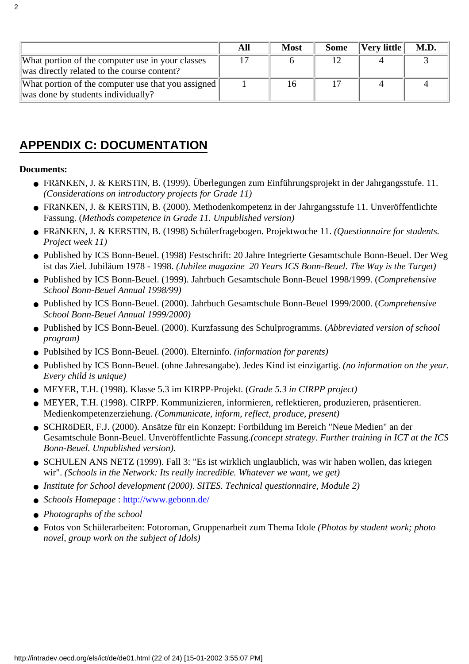|                                                                                                 | All | <b>Most</b> | <b>Some</b> | $ {\rm Verv \; little} $ | M.D. |
|-------------------------------------------------------------------------------------------------|-----|-------------|-------------|--------------------------|------|
| What portion of the computer use in your classes<br>was directly related to the course content? |     |             |             |                          |      |
| What portion of the computer use that you assigned<br>was done by students individually?        |     |             |             |                          |      |

### <span id="page-21-0"></span>**APPENDIX C: DOCUMENTATION**

#### **Documents:**

- FRäNKEN, J. & KERSTIN, B. (1999). Überlegungen zum Einführungsprojekt in der Jahrgangsstufe. 11. *(Considerations on introductory projects for Grade 11)*
- FRäNKEN, J. & KERSTIN, B. (2000). Methodenkompetenz in der Jahrgangsstufe 11. Unveröffentlichte Fassung. (*Methods competence in Grade 11. Unpublished version)*
- FRäNKEN, J. & KERSTIN, B. (1998) Schülerfragebogen. Projektwoche 11. *(Questionnaire for students. Project week 11)*
- Published by ICS Bonn-Beuel. (1998) Festschrift: 20 Jahre Integrierte Gesamtschule Bonn-Beuel. Der Weg ist das Ziel. Jubiläum 1978 - 1998. *(Jubilee magazine 20 Years ICS Bonn-Beuel. The Way is the Target)*
- Published by ICS Bonn-Beuel. (1999). Jahrbuch Gesamtschule Bonn-Beuel 1998/1999. (Comprehensive *School Bonn-Beuel Annual 1998/99)*
- Published by ICS Bonn-Beuel. (2000). Jahrbuch Gesamtschule Bonn-Beuel 1999/2000. (*Comprehensive School Bonn-Beuel Annual 1999/2000)*
- Published by ICS Bonn-Beuel. (2000). Kurzfassung des Schulprogramms. (*Abbreviated version of school program)*
- Publsihed by ICS Bonn-Beuel. (2000). Elterninfo. *(information for parents)*
- Published by ICS Bonn-Beuel. (ohne Jahresangabe). Jedes Kind ist einzigartig. *(no information on the year. Every child is unique)*
- MEYER, T.H. (1998). Klasse 5.3 im KIRPP-Projekt. (*Grade 5.3 in CIRPP project)*
- MEYER, T.H. (1998). CIRPP. Kommunizieren, informieren, reflektieren, produzieren, präsentieren. Medienkompetenzerziehung. *(Communicate, inform, reflect, produce, present)*
- SCHRöDER, F.J. (2000). Ansätze für ein Konzept: Fortbildung im Bereich "Neue Medien" an der Gesamtschule Bonn-Beuel. Unveröffentlichte Fassung.*(concept strategy. Further training in ICT at the ICS Bonn-Beuel. Unpublished version).*
- SCHULEN ANS NETZ (1999). Fall 3: "Es ist wirklich unglaublich, was wir haben wollen, das kriegen wir". *(Schools in the Network: It s really incredible. Whatever we want, we get)*
- *Institute for School development (2000). SITES. Technical questionnaire, Module 2)*
- *Schools Homepage*:<http://www.gebonn.de/>
- *Photographs of the school*
- Fotos von Schülerarbeiten: Fotoroman, Gruppenarbeit zum Thema Idole *(Photos by student work; photo novel, group work on the subject of Idols)*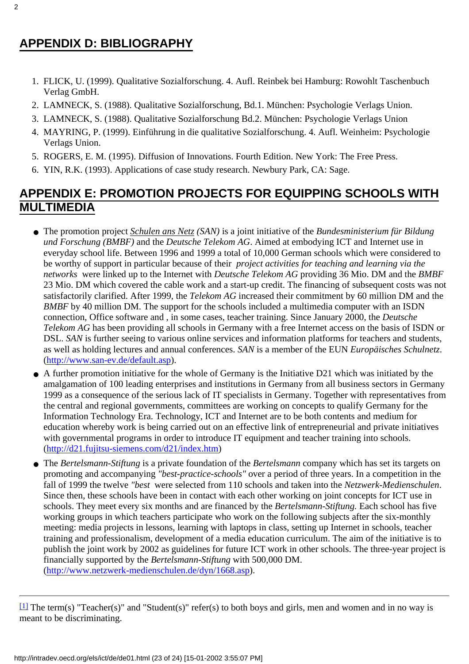### <span id="page-22-0"></span>**APPENDIX D: BIBLIOGRAPHY**

- FLICK, U. (1999). Qualitative Sozialforschung. 4. Aufl. Reinbek bei Hamburg: Rowohlt Taschenbuch 1. Verlag GmbH.
- 2. LAMNECK, S. (1988). Qualitative Sozialforschung, Bd.1. München: Psychologie Verlags Union.
- 3. LAMNECK, S. (1988). Qualitative Sozialforschung Bd.2. München: Psychologie Verlags Union
- MAYRING, P. (1999). Einführung in die qualitative Sozialforschung. 4. Aufl. Weinheim: Psychologie 4. Verlags Union.
- 5. ROGERS, E. M. (1995). Diffusion of Innovations. Fourth Edition. New York: The Free Press.
- 6. YIN, R.K. (1993). Applications of case study research. Newbury Park, CA: Sage.

### <span id="page-22-1"></span>**APPENDIX E: PROMOTION PROJECTS FOR EQUIPPING SCHOOLS WITH MULTIMEDIA**

- The promotion project *Schulen ans Netz (SAN)* is a joint initiative of the *Bundesministerium für Bildung und Forschung (BMBF)* and the *Deutsche Telekom AG*. Aimed at embodying ICT and Internet use in everyday school life. Between 1996 and 1999 a total of 10,000 German schools which were considered to be worthy of support in particular because of their *project activities for teaching and learning via the networks* were linked up to the Internet with *Deutsche Telekom AG* providing 36 Mio. DM and the *BMBF* 23 Mio. DM which covered the cable work and a start-up credit. The financing of subsequent costs was not satisfactorily clarified. After 1999, the *Telekom AG* increased their commitment by 60 million DM and the *BMBF* by 40 million DM. The support for the schools included a multimedia computer with an ISDN connection, Office software and , in some cases, teacher training. Since January 2000, the *Deutsche Telekom AG* has been providing all schools in Germany with a free Internet access on the basis of ISDN or DSL. *SAN* is further seeing to various online services and information platforms for teachers and students, as well as holding lectures and annual conferences. *SAN* is a member of the EUN *Europäisches Schulnetz*. (http://www.san-ev.de/default.asp).
- A further promotion initiative for the whole of Germany is the Initiative D21 which was initiated by the amalgamation of 100 leading enterprises and institutions in Germany from all business sectors in Germany 1999 as a consequence of the serious lack of IT specialists in Germany. Together with representatives from the central and regional governments, committees are working on concepts to qualify Germany for the Information Technology Era. Technology, ICT and Internet are to be both contents and medium for education whereby work is being carried out on an effective link of entrepreneurial and private initiatives with governmental programs in order to introduce IT equipment and teacher training into schools. [\(http://d21.fujitsu-siemens.com/d21/index.htm](http://d21.fujitsu-siemens.com/d21/index.htm))
- The *Bertelsmann-Stiftung* is a private foundation of the *Bertelsmann* company which has set its targets on promoting and accompanying *"best-practice-schools"* over a period of three years. In a competition in the fall of 1999 the twelve *"best* were selected from 110 schools and taken into the *Netzwerk-Medienschulen*. Since then, these schools have been in contact with each other working on joint concepts for ICT use in schools. They meet every six months and are financed by the *Bertelsmann-Stiftung.* Each school has five working groups in which teachers participate who work on the following subjects after the six-monthly meeting: media projects in lessons, learning with laptops in class, setting up Internet in schools, teacher training and professionalism, development of a media education curriculum. The aim of the initiative is to publish the joint work by 2002 as guidelines for future ICT work in other schools. The three-year project is financially supported by the *Bertelsmann-Stiftung* with 500,000 DM. (http://www.netzwerk-medienschulen.de/dyn/1668.asp).

<span id="page-22-2"></span> $\boxed{11}$  The term(s) "Teacher(s)" and "Student(s)" refer(s) to both boys and girls, men and women and in no way is meant to be discriminating.